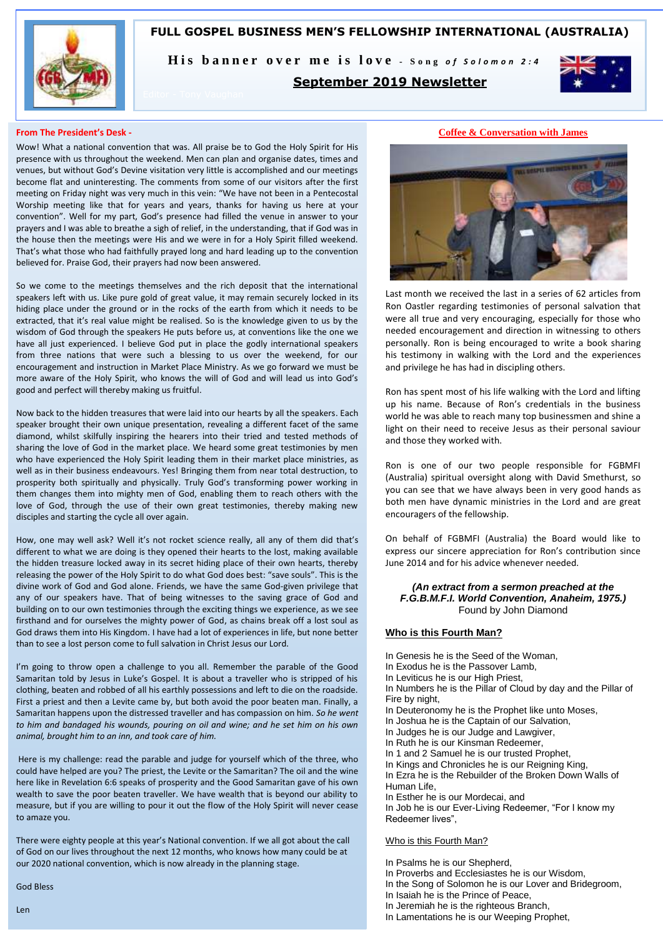

**FULL GOSPEL BUSINESS MEN'S FELLOWSHIP INTERNATIONAL (AUSTRALIA)**

His banner over me is love - Song of Solomon 2:4

# **September 2019 Newsletter**



#### **From The President's Desk -**

Wow! What a national convention that was. All praise be to God the Holy Spirit for His presence with us throughout the weekend. Men can plan and organise dates, times and venues, but without God's Devine visitation very little is accomplished and our meetings become flat and uninteresting. The comments from some of our visitors after the first meeting on Friday night was very much in this vein: "We have not been in a Pentecostal Worship meeting like that for years and years, thanks for having us here at your convention". Well for my part, God's presence had filled the venue in answer to your prayers and I was able to breathe a sigh of relief, in the understanding, that if God was in the house then the meetings were His and we were in for a Holy Spirit filled weekend. That's what those who had faithfully prayed long and hard leading up to the convention believed for. Praise God, their prayers had now been answered.

So we come to the meetings themselves and the rich deposit that the international speakers left with us. Like pure gold of great value, it may remain securely locked in its hiding place under the ground or in the rocks of the earth from which it needs to be extracted, that it's real value might be realised. So is the knowledge given to us by the wisdom of God through the speakers He puts before us, at conventions like the one we have all just experienced. I believe God put in place the godly international speakers from three nations that were such a blessing to us over the weekend, for our encouragement and instruction in Market Place Ministry. As we go forward we must be more aware of the Holy Spirit, who knows the will of God and will lead us into God's good and perfect will thereby making us fruitful.

Now back to the hidden treasures that were laid into our hearts by all the speakers. Each speaker brought their own unique presentation, revealing a different facet of the same diamond, whilst skilfully inspiring the hearers into their tried and tested methods of sharing the love of God in the market place. We heard some great testimonies by men who have experienced the Holy Spirit leading them in their market place ministries, as well as in their business endeavours. Yes! Bringing them from near total destruction, to prosperity both spiritually and physically. Truly God's transforming power working in them changes them into mighty men of God, enabling them to reach others with the love of God, through the use of their own great testimonies, thereby making new disciples and starting the cycle all over again.

How, one may well ask? Well it's not rocket science really, all any of them did that's different to what we are doing is they opened their hearts to the lost, making available the hidden treasure locked away in its secret hiding place of their own hearts, thereby releasing the power of the Holy Spirit to do what God does best: "save souls". This is the divine work of God and God alone. Friends, we have the same God-given privilege that any of our speakers have. That of being witnesses to the saving grace of God and building on to our own testimonies through the exciting things we experience, as we see firsthand and for ourselves the mighty power of God, as chains break off a lost soul as God draws them into His Kingdom. I have had a lot of experiences in life, but none better than to see a lost person come to full salvation in Christ Jesus our Lord.

I'm going to throw open a challenge to you all. Remember the parable of the Good Samaritan told by Jesus in Luke's Gospel. It is about a traveller who is stripped of his clothing, beaten and robbed of all his earthly possessions and left to die on the roadside. First a priest and then a Levite came by, but both avoid the poor beaten man. Finally, a Samaritan happens upon the distressed traveller and has compassion on him. *So he went to him and bandaged his wounds, pouring on oil and wine; and he set him on his own animal, brought him to an inn, and took care of him.*

Here is my challenge: read the parable and judge for yourself which of the three, who could have helped are you? The priest, the Levite or the Samaritan? The oil and the wine here like in Revelation 6:6 speaks of prosperity and the Good Samaritan gave of his own wealth to save the poor beaten traveller. We have wealth that is beyond our ability to measure, but if you are willing to pour it out the flow of the Holy Spirit will never cease to amaze you.

There were eighty people at this year's National convention. If we all got about the call of God on our lives throughout the next 12 months, who knows how many could be at our 2020 national convention, which is now already in the planning stage.

God Bless

## **Coffee & Conversation with James**



Last month we received the last in a series of 62 articles from Ron Oastler regarding testimonies of personal salvation that were all true and very encouraging, especially for those who needed encouragement and direction in witnessing to others personally. Ron is being encouraged to write a book sharing his testimony in walking with the Lord and the experiences and privilege he has had in discipling others.

Ron has spent most of his life walking with the Lord and lifting up his name. Because of Ron's credentials in the business world he was able to reach many top businessmen and shine a light on their need to receive Jesus as their personal saviour and those they worked with.

Ron is one of our two people responsible for FGBMFI (Australia) spiritual oversight along with David Smethurst, so you can see that we have always been in very good hands as both men have dynamic ministries in the Lord and are great encouragers of the fellowship.

On behalf of FGBMFI (Australia) the Board would like to express our sincere appreciation for Ron's contribution since June 2014 and for his advice whenever needed.

#### *(An extract from a sermon preached at the F.G.B.M.F.I. World Convention, Anaheim, 1975.)* Found by John Diamond

#### **Who is this Fourth Man?**

In Genesis he is the Seed of the Woman, In Exodus he is the Passover Lamb, In Leviticus he is our High Priest, In Numbers he is the Pillar of Cloud by day and the Pillar of Fire by night, In Deuteronomy he is the Prophet like unto Moses, In Joshua he is the Captain of our Salvation, In Judges he is our Judge and Lawgiver, In Ruth he is our Kinsman Redeemer, In 1 and 2 Samuel he is our trusted Prophet In Kings and Chronicles he is our Reigning King. In Ezra he is the Rebuilder of the Broken Down Walls of Human Life, In Esther he is our Mordecai, and In Job he is our Ever-Living Redeemer, "For I know my Redeemer lives",

#### Who is this Fourth Man?

In Psalms he is our Shepherd, In Proverbs and Ecclesiastes he is our Wisdom, In the Song of Solomon he is our Lover and Bridegroom, In Isaiah he is the Prince of Peace, In Jeremiah he is the righteous Branch,

In Lamentations he is our Weeping Prophet,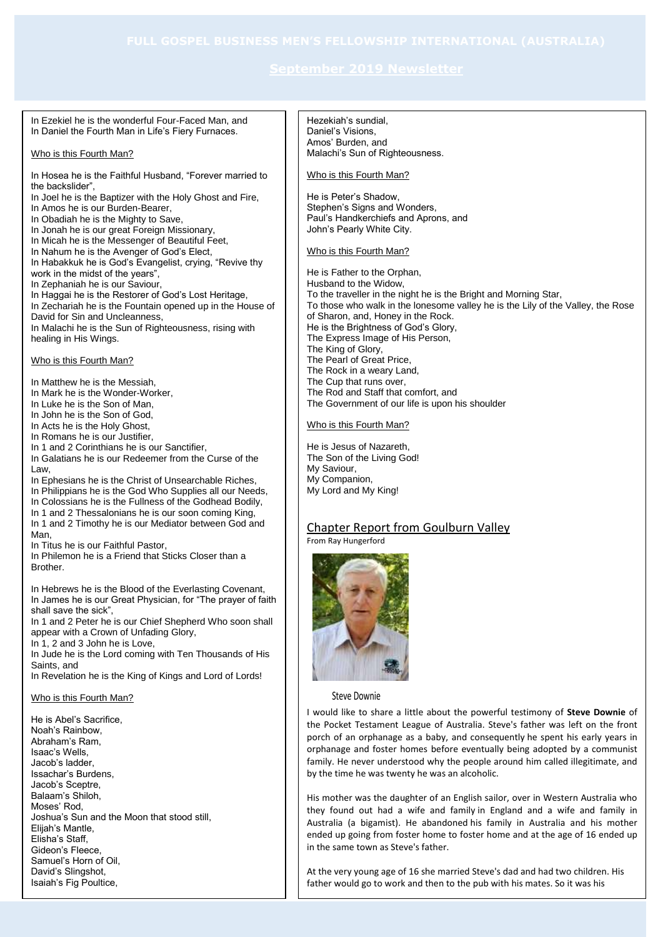In Ezekiel he is the wonderful Four-Faced Man, and In Daniel the Fourth Man in Life's Fiery Furnaces.

#### Who is this Fourth Man?

In Hosea he is the Faithful Husband, "Forever married to the backslider",

- In Joel he is the Baptizer with the Holy Ghost and Fire,
- In Amos he is our Burden-Bearer,
- In Obadiah he is the Mighty to Save,
- In Jonah he is our great Foreign Missionary,
- In Micah he is the Messenger of Beautiful Feet,
- In Nahum he is the Avenger of God's Elect,
- In Habakkuk he is God's Evangelist, crying, "Revive thy work in the midst of the years",
- In Zephaniah he is our Saviour,
- In Haggai he is the Restorer of God's Lost Heritage, In Zechariah he is the Fountain opened up in the House of David for Sin and Uncleanness, In Malachi he is the Sun of Righteousness, rising with healing in His Wings.

### Who is this Fourth Man?

In Matthew he is the Messiah,

- In Mark he is the Wonder-Worker,
- In Luke he is the Son of Man,
- In John he is the Son of God,
- In Acts he is the Holy Ghost,
- In Romans he is our Justifier,
- In 1 and 2 Corinthians he is our Sanctifier, In Galatians he is our Redeemer from the Curse of the Law.

In Ephesians he is the Christ of Unsearchable Riches, In Philippians he is the God Who Supplies all our Needs, In Colossians he is the Fullness of the Godhead Bodily,

- In 1 and 2 Thessalonians he is our soon coming King, In 1 and 2 Timothy he is our Mediator between God and Man,
- In Titus he is our Faithful Pastor,

In Philemon he is a Friend that Sticks Closer than a **Brother** 

In Hebrews he is the Blood of the Everlasting Covenant, In James he is our Great Physician, for "The prayer of faith shall save the sick",

In 1 and 2 Peter he is our Chief Shepherd Who soon shall appear with a Crown of Unfading Glory,

In 1, 2 and 3 John he is Love,

In Jude he is the Lord coming with Ten Thousands of His Saints, and

In Revelation he is the King of Kings and Lord of Lords!

### Who is this Fourth Man?

He is Abel's Sacrifice, Noah's Rainbow, Abraham's Ram, Isaac's Wells, Jacob's ladder, Issachar's Burdens, Jacob's Sceptre, Balaam's Shiloh, Moses' Rod, Joshua's Sun and the Moon that stood still, Elijah's Mantle, Elisha's Staff, Gideon's Fleece, Samuel's Horn of Oil, David's Slingshot, Isaiah's Fig Poultice,

Hezekiah's sundial, Daniel's Visions, Amos' Burden, and Malachi's Sun of Righteousness.

Who is this Fourth Man?

He is Peter's Shadow, Stephen's Signs and Wonders, Paul's Handkerchiefs and Aprons, and John's Pearly White City.

### Who is this Fourth Man?

He is Father to the Orphan, Husband to the Widow, To the traveller in the night he is the Bright and Morning Star, To those who walk in the lonesome valley he is the Lily of the Valley, the Rose of Sharon, and, Honey in the Rock. He is the Brightness of God's Glory, The Express Image of His Person, The King of Glory, The Pearl of Great Price, The Rock in a weary Land, The Cup that runs over, The Rod and Staff that comfort, and The Government of our life is upon his shoulder

### Who is this Fourth Man?

He is Jesus of Nazareth, The Son of the Living God! My Saviour, My Companion, My Lord and My King!

## Chapter Report from Goulburn Valley From Ray Hungerford



### Steve Downie

I would like to share a little about the powerful testimony of **Steve Downie** of the Pocket Testament League of Australia. Steve's father was left on the front porch of an orphanage as a baby, and consequently he spent his early years in orphanage and foster homes before eventually being adopted by a communist family. He never understood why the people around him called illegitimate, and by the time he was twenty he was an alcoholic.

His mother was the daughter of an English sailor, over in Western Australia who they found out had a wife and family in England and a wife and family in Australia (a bigamist). He abandoned his family in Australia and his mother ended up going from foster home to foster home and at the age of 16 ended up in the same town as Steve's father.

At the very young age of 16 she married Steve's dad and had two children. His father would go to work and then to the pub with his mates. So it was his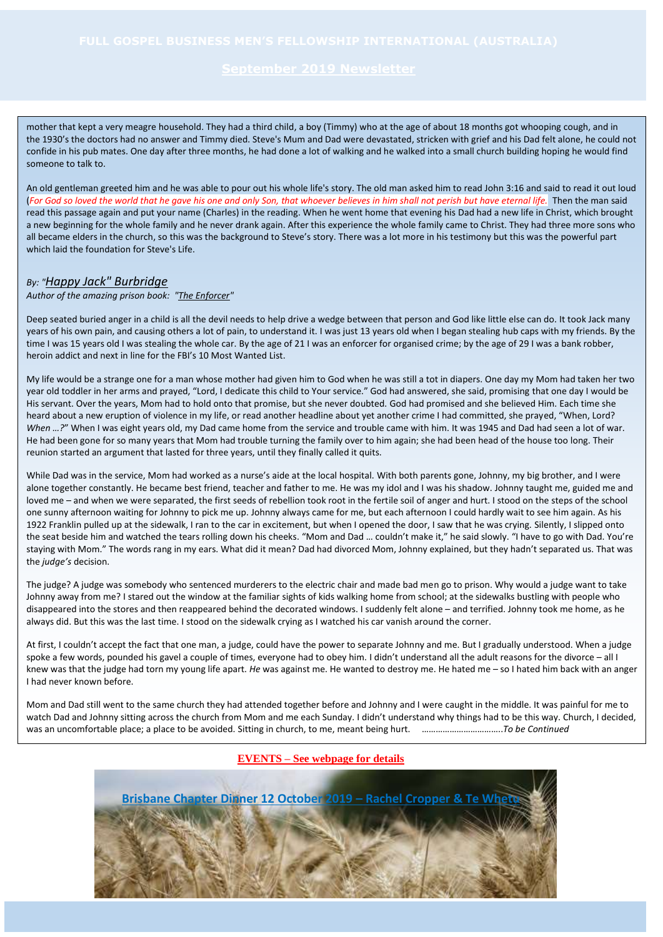mother that kept a very meagre household. They had a third child, a boy (Timmy) who at the age of about 18 months got whooping cough, and in the 1930's the doctors had no answer and Timmy died. Steve's Mum and Dad were devastated, stricken with grief and his Dad felt alone, he could not confide in his pub mates. One day after three months, he had done a lot of walking and he walked into a small church building hoping he would find someone to talk to.

An old gentleman greeted him and he was able to pour out his whole life's story. The old man asked him to read John 3:16 and said to read it out loud (*For God so loved the world that he gave his one and only Son, that whoever believes in him shall not perish but have eternal life.* Then the man said read this passage again and put your name (Charles) in the reading. When he went home that evening his Dad had a new life in Christ, which brought a new beginning for the whole family and he never drank again. After this experience the whole family came to Christ. They had three more sons who all became elders in the church, so this was the background to Steve's story. There was a lot more in his testimony but this was the powerful part which laid the foundation for Steve's Life.

### *By: "[Happy Jack" Burbridge](http://fromcrimetochrist.com/welcome.htm)*

*Author of the amazing prison book: ["The Enforcer"](http://www.fromcrimetochrist.com/Enforcer.htm)*

Deep seated buried anger in a child is all the devil needs to help drive a wedge between that person and God like little else can do. It took Jack many years of his own pain, and causing others a lot of pain, to understand it. I was just 13 years old when I began stealing hub caps with my friends. By the time I was 15 years old I was stealing the whole car. By the age of 21 I was an enforcer for organised crime; by the age of 29 I was a bank robber, heroin addict and next in line for the FBI's 10 Most Wanted List.

My life would be a strange one for a man whose mother had given him to God when he was still a tot in diapers. One day my Mom had taken her two year old toddler in her arms and prayed, "Lord, I dedicate this child to Your service." God had answered, she said, promising that one day I would be His servant. Over the years, Mom had to hold onto that promise, but she never doubted. God had promised and she believed Him. Each time she heard about a new eruption of violence in my life, or read another headline about yet another crime I had committed, she prayed, "When, Lord? *When …?*" When I was eight years old, my Dad came home from the service and trouble came with him. It was 1945 and Dad had seen a lot of war. He had been gone for so many years that Mom had trouble turning the family over to him again; she had been head of the house too long. Their reunion started an argument that lasted for three years, until they finally called it quits.

While Dad was in the service, Mom had worked as a nurse's aide at the local hospital. With both parents gone, Johnny, my big brother, and I were alone together constantly. He became best friend, teacher and father to me. He was my idol and I was his shadow. Johnny taught me, guided me and loved me – and when we were separated, the first seeds of rebellion took root in the fertile soil of anger and hurt. I stood on the steps of the school one sunny afternoon waiting for Johnny to pick me up. Johnny always came for me, but each afternoon I could hardly wait to see him again. As his 1922 Franklin pulled up at the sidewalk, I ran to the car in excitement, but when I opened the door, I saw that he was crying. Silently, I slipped onto the seat beside him and watched the tears rolling down his cheeks. "Mom and Dad … couldn't make it," he said slowly. "I have to go with Dad. You're staying with Mom." The words rang in my ears. What did it mean? Dad had divorced Mom, Johnny explained, but they hadn't separated us. That was the *judge's* decision.

The judge? A judge was somebody who sentenced murderers to the electric chair and made bad men go to prison. Why would a judge want to take Johnny away from me? I stared out the window at the familiar sights of kids walking home from school; at the sidewalks bustling with people who disappeared into the stores and then reappeared behind the decorated windows. I suddenly felt alone – and terrified. Johnny took me home, as he always did. But this was the last time. I stood on the sidewalk crying as I watched his car vanish around the corner.

At first, I couldn't accept the fact that one man, a judge, could have the power to separate Johnny and me. But I gradually understood. When a judge spoke a few words, pounded his gavel a couple of times, everyone had to obey him. I didn't understand all the adult reasons for the divorce – all I knew was that the judge had torn my young life apart. *He* was against me. He wanted to destroy me. He hated me – so I hated him back with an anger I had never known before.

Mom and Dad still went to the same church they had attended together before and Johnny and I were caught in the middle. It was painful for me to watch Dad and Johnny sitting across the church from Mom and me each Sunday. I didn't understand why things had to be this way. Church, I decided, was an uncomfortable place; a place to be avoided. Sitting in church, to me, meant being hurt. ……………………………..*To be Continued*

**EVENTS – See webpage for details**